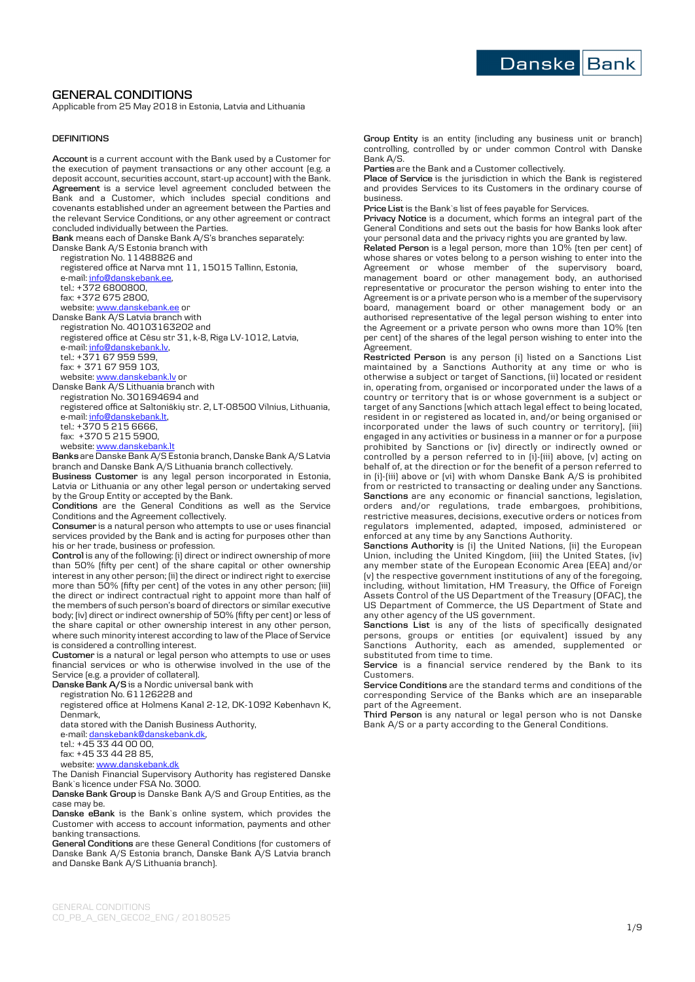**GENERAL CONDITIONS**

Applicable from 25 May 2018 in Estonia, Latvia and Lithuania

## **DEFINITIONS**

**Account** is a current account with the Bank used by a Customer for the execution of payment transactions or any other account (e.g. a deposit account, securities account, start-up account) with the Bank. **Agreement** is a service level agreement concluded between the Bank and a Customer, which includes special conditions and covenants established under an agreement between the Parties and the relevant Service Conditions, or any other agreement or contract concluded individually between the Parties.

**Bank** means each of Danske Bank A/S's branches separately:

Danske Bank A/S Estonia branch with

registration No. 11488826 and

registered office at Narva mnt 11, 15015 Tallinn, Estonia, e-mail[: info@danskebank.ee,](mailto:info@danskebank.ee)

tel.: +372 6800800,

fax: +372 675 2800,

website[: www.danskebank.ee](http://www.danskebank.ee/) or

Danske Bank A/S Latvia branch with

registration No. 40103163202 and registered office at Cēsu str 31, k-8, Riga LV-1012, Latvia,

e-mail[: info@danskebank.lv,](mailto:info@danskebank.lv)  tel.: +371 67 959 599, fax: + 371 67 959 103,

website[: www.danskebank.lv](http://www.danskebank.lv/) or

Danske Bank A/S Lithuania branch with

registration No. 301694694 and

registered office at Saltoniškių str. 2, LT-08500 Vilnius, Lithuania, e-mail[: info@danskebank.lt,](mailto:info@danskebank.lt) 

tel.: +370 5 215 6666,

fax: +370 5 215 5900,

website[: www.danskebank.lt](http://www.danskebank.lt/)

**Banks** are Danske Bank A/S Estonia branch, Danske Bank A/S Latvia branch and Danske Bank A/S Lithuania branch collectively.

**Business Customer** is any legal person incorporated in Estonia, Latvia or Lithuania or any other legal person or undertaking served by the Group Entity or accepted by the Bank.

**Conditions** are the General Conditions as well as the Service Conditions and the Agreement collectively.

**Consumer** is a natural person who attempts to use or uses financial services provided by the Bank and is acting for purposes other than his or her trade, business or profession.

**Control** is any of the following: (i) direct or indirect ownership of more than 50% (fifty per cent) of the share capital or other ownership interest in any other person; (ii) the direct or indirect right to exercise more than 50% (fifty per cent) of the votes in any other person; (iii) the direct or indirect contractual right to appoint more than half of the members of such person's board of directors or similar executive body; (iv) direct or indirect ownership of 50% (fifty per cent) or less of the share capital or other ownership interest in any other person, where such minority interest according to law of the Place of Service is considered a controlling interest.

**Customer** is a natural or legal person who attempts to use or uses financial services or who is otherwise involved in the use of the Service (e.g. a provider of collateral).

**Danske Bank A/S** is a Nordic universal bank with

registration No. 61126228 and

registered office at Holmens Kanal 2-12, DK-1092 København K, Denmark,

data stored with the Danish Business Authority,

e-mail[: danskebank@danskebank.dk,](mailto:danskebank@danskebank.dk) 

tel.: +45 33 44 00 00.

fax: +45 33 44 28 85, website[: www.danskebank.dk](http://www.danskebank.dk/)

The Danish Financial Supervisory Authority has registered Danske Bank`s licence under FSA No. 3000.

**Danske Bank Group** is Danske Bank A/S and Group Entities, as the case may be.

**Danske eBank** is the Bank`s online system, which provides the Customer with access to account information, payments and other banking transactions.

**General Conditions** are these General Conditions (for customers of Danske Bank A/S Estonia branch, Danske Bank A/S Latvia branch and Danske Bank A/S Lithuania branch).

**Danske** Bank

**Parties** are the Bank and a Customer collectively.

**Place of Service** is the jurisdiction in which the Bank is registered and provides Services to its Customers in the ordinary course of business.

**Price List** is the Bank`s list of fees payable for Services.

**Privacy Notice** is a document, which forms an integral part of the General Conditions and sets out the basis for how Banks look after your personal data and the privacy rights you are granted by law.

**Related Person** is a legal person, more than 10% (ten per cent) of whose shares or votes belong to a person wishing to enter into the Agreement or whose member of the supervisory board, management board or other management body, an authorised representative or procurator the person wishing to enter into the Agreement is or a private person who is a member of the supervisory board, management board or other management body or an authorised representative of the legal person wishing to enter into the Agreement or a private person who owns more than 10% (ten per cent) of the shares of the legal person wishing to enter into the Agreement.

**Restricted Person** is any person (i) listed on a Sanctions List maintained by a Sanctions Authority at any time or who is otherwise a subject or target of Sanctions, (ii) located or resident in, operating from, organised or incorporated under the laws of a country or territory that is or whose government is a subject or target of any Sanctions [which attach legal effect to being located, resident in or registered as located in, and/or being organised or incorporated under the laws of such country or territory], (iii) engaged in any activities or business in a manner or for a purpose prohibited by Sanctions or (iv) directly or indirectly owned or controlled by a person referred to in (i)-(iii) above, (v) acting on behalf of, at the direction or for the benefit of a person referred to in (i)-(iii) above or (vi) with whom Danske Bank A/S is prohibited from or restricted to transacting or dealing under any Sanctions. **Sanctions** are any economic or financial sanctions, legislation, orders and/or regulations, trade embargoes, prohibitions, restrictive measures, decisions, executive orders or notices from regulators implemented, adapted, imposed, administered or enforced at any time by any Sanctions Authority.

**Sanctions Authority** is (i) the United Nations, (ii) the European Union, including the United Kingdom, (iii) the United States, (iv) any member state of the European Economic Area (EEA) and/or (v) the respective government institutions of any of the foregoing, including, without limitation, HM Treasury, the Office of Foreign Assets Control of the US Department of the Treasury (OFAC), the US Department of Commerce, the US Department of State and any other agency of the US government.

**Sanctions List** is any of the lists of specifically designated persons, groups or entities (or equivalent) issued by any Sanctions Authority, each as amended, supplemented or substituted from time to time.

**Service** is a financial service rendered by the Bank to its Customers.

**Service Conditions** are the standard terms and conditions of the corresponding Service of the Banks which are an inseparable part of the Agreement.

**Third Person** is any natural or legal person who is not Danske Bank A/S or a party according to the General Conditions.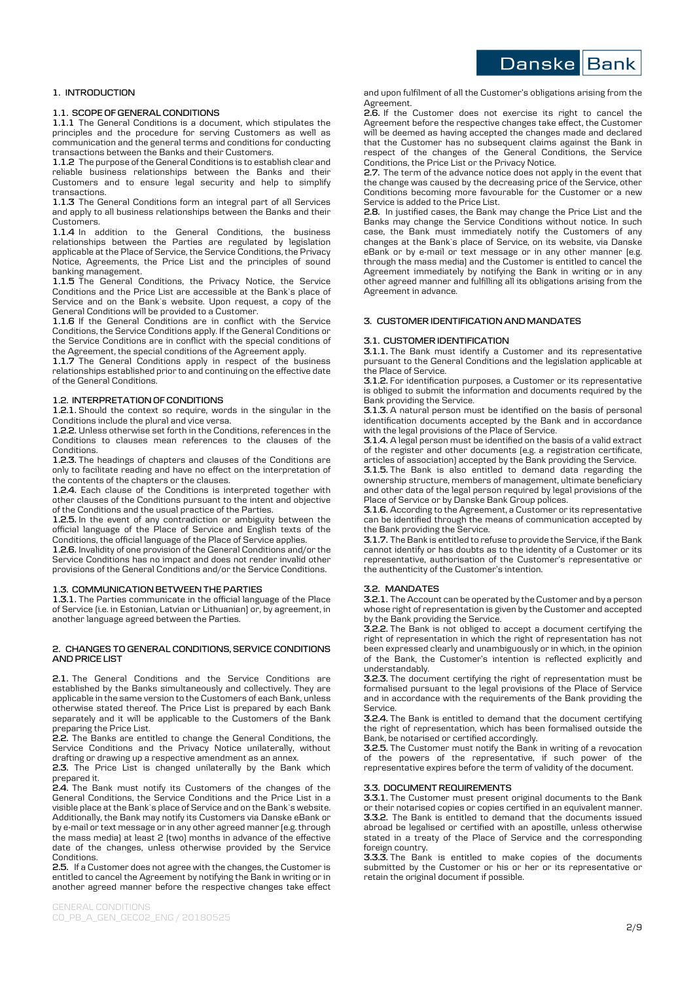## **1. INTRODUCTION**

## **1.1. SCOPE OF GENERAL CONDITIONS**

**1.1.1** The General Conditions is a document, which stipulates the principles and the procedure for serving Customers as well as communication and the general terms and conditions for conducting transactions between the Banks and their Customers.

**1.1.2** The purpose of the General Conditions is to establish clear and reliable business relationships between the Banks and their Customers and to ensure legal security and help to simplify transactions.

**1.1.3** The General Conditions form an integral part of all Services and apply to all business relationships between the Banks and their Customers.

**1.1.4** In addition to the General Conditions, the business relationships between the Parties are regulated by legislation applicable at the Place of Service, the Service Conditions, the Privacy Notice, Agreements, the Price List and the principles of sound banking management.

**1.1.5** The General Conditions, the Privacy Notice, the Service Conditions and the Price List are accessible at the Bank`s place of Service and on the Bank`s website. Upon request, a copy of the General Conditions will be provided to a Customer.

**1.1.6** If the General Conditions are in conflict with the Service Conditions, the Service Conditions apply. If the General Conditions or the Service Conditions are in conflict with the special conditions of the Agreement, the special conditions of the Agreement apply.

**1.1.7** The General Conditions apply in respect of the business relationships established prior to and continuing on the effective date of the General Conditions.

### **1.2. INTERPRETATION OF CONDITIONS**

**1.2.1.** Should the context so require, words in the singular in the Conditions include the plural and vice versa.

**1.2.2.** Unless otherwise set forth in the Conditions, references in the Conditions to clauses mean references to the clauses of the Conditions.

**1.2.3.** The headings of chapters and clauses of the Conditions are only to facilitate reading and have no effect on the interpretation of the contents of the chapters or the clauses.

**1.2.4.** Each clause of the Conditions is interpreted together with other clauses of the Conditions pursuant to the intent and objective of the Conditions and the usual practice of the Parties.

**1.2.5.** In the event of any contradiction or ambiguity between the official language of the Place of Service and English texts of the Conditions, the official language of the Place of Service applies.

**1.2.6.** Invalidity of one provision of the General Conditions and/or the Service Conditions has no impact and does not render invalid other provisions of the General Conditions and/or the Service Conditions.

## **1.3. COMMUNICATION BETWEEN THE PARTIES**

**1.3.1.** The Parties communicate in the official language of the Place of Service (i.e. in Estonian, Latvian or Lithuanian) or, by agreement, in another language agreed between the Parties.

#### **2. CHANGES TO GENERAL CONDITIONS, SERVICE CONDITIONS AND PRICE LIST**

**2.1.** The General Conditions and the Service Conditions are established by the Banks simultaneously and collectively. They are applicable in the same version to the Customers of each Bank, unless otherwise stated thereof. The Price List is prepared by each Bank separately and it will be applicable to the Customers of the Bank preparing the Price List.

**2.2.** The Banks are entitled to change the General Conditions, the Service Conditions and the Privacy Notice unilaterally, without drafting or drawing up a respective amendment as an annex.

**2.3.** The Price List is changed unilaterally by the Bank which prepared it.

**2.4.** The Bank must notify its Customers of the changes of the General Conditions, the Service Conditions and the Price List in a visible place at the Bank`s place of Service and on the Bank`s website. Additionally, the Bank may notify its Customers via Danske eBank or by e-mail or text message or in any other agreed manner (e.g. through the mass media) at least 2 (two) months in advance of the effective date of the changes, unless otherwise provided by the Service Conditions.

**2.5.** If a Customer does not agree with the changes, the Customer is entitled to cancel the Agreement by notifying the Bank in writing or in another agreed manner before the respective changes take effect and upon fulfilment of all the Customer's obligations arising from the Agreement.

**2.6.** If the Customer does not exercise its right to cancel the Agreement before the respective changes take effect, the Customer will be deemed as having accepted the changes made and declared that the Customer has no subsequent claims against the Bank in respect of the changes of the General Conditions, the Service Conditions, the Price List or the Privacy Notice.

**2.7.** The term of the advance notice does not apply in the event that the change was caused by the decreasing price of the Service, other Conditions becoming more favourable for the Customer or a new Service is added to the Price List.

**2.8.** In justified cases, the Bank may change the Price List and the Banks may change the Service Conditions without notice. In such case, the Bank must immediately notify the Customers of any changes at the Bank`s place of Service, on its website, via Danske eBank or by e-mail or text message or in any other manner (e.g. through the mass media) and the Customer is entitled to cancel the Agreement immediately by notifying the Bank in writing or in any other agreed manner and fulfilling all its obligations arising from the Agreement in advance.

# **3. CUSTOMER IDENTIFICATION AND MANDATES**

## **3.1. CUSTOMER IDENTIFICATION**

**3.1.1.** The Bank must identify a Customer and its representative pursuant to the General Conditions and the legislation applicable at the Place of Service.

**3.1.2.** For identification purposes, a Customer or its representative is obliged to submit the information and documents required by the Bank providing the Service.

**3.1.3.** A natural person must be identified on the basis of personal identification documents accepted by the Bank and in accordance with the legal provisions of the Place of Service.

**3.1.4.** A legal person must be identified on the basis of a valid extract of the register and other documents (e.g. a registration certificate, articles of association) accepted by the Bank providing the Service.

**3.1.5.** The Bank is also entitled to demand data regarding the ownership structure, members of management, ultimate beneficiary and other data of the legal person required by legal provisions of the Place of Service or by Danske Bank Group polices.

**3.1.6.** According to the Agreement, a Customer or its representative can be identified through the means of communication accepted by the Bank providing the Service.

**3.1.7.** The Bank is entitled to refuse to provide the Service, if the Bank cannot identify or has doubts as to the identity of a Customer or its representative, authorisation of the Customer's representative or the authenticity of the Customer's intention.

#### **3.2. MANDATES**

**3.2.1.** The Account can be operated by the Customer and by a person whose right of representation is given by the Customer and accepted by the Bank providing the Service.

**3.2.2.** The Bank is not obliged to accept a document certifying the right of representation in which the right of representation has not been expressed clearly and unambiguously or in which, in the opinion of the Bank, the Customer's intention is reflected explicitly and understandably.

**3.2.3.** The document certifying the right of representation must be formalised pursuant to the legal provisions of the Place of Service and in accordance with the requirements of the Bank providing the Service.

**3.2.4.** The Bank is entitled to demand that the document certifying the right of representation, which has been formalised outside the Bank, be notarised or certified accordingly.

**3.2.5.** The Customer must notify the Bank in writing of a revocation of the powers of the representative, if such power of the representative expires before the term of validity of the document.

#### **3.3. DOCUMENT REQUIREMENTS**

**3.3.1.** The Customer must present original documents to the Bank or their notarised copies or copies certified in an equivalent manner. **3.3.2.** The Bank is entitled to demand that the documents issued abroad be legalised or certified with an apostille, unless otherwise stated in a treaty of the Place of Service and the corresponding foreign country.

**3.3.3.** The Bank is entitled to make copies of the documents submitted by the Customer or his or her or its representative or retain the original document if possible.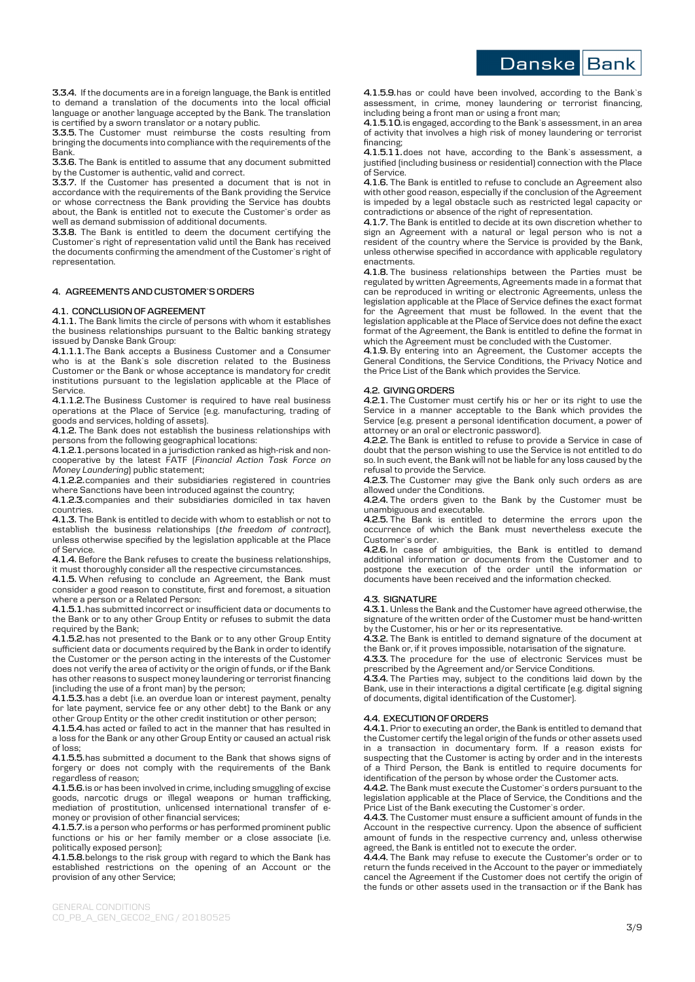**3.3.4.** If the documents are in a foreign language, the Bank is entitled to demand a translation of the documents into the local official language or another language accepted by the Bank. The translation is certified by a sworn translator or a notary public.

**3.3.5.** The Customer must reimburse the costs resulting from bringing the documents into compliance with the requirements of the Bank.

**3.3.6.** The Bank is entitled to assume that any document submitted by the Customer is authentic, valid and correct.

**3.3.7.** If the Customer has presented a document that is not in accordance with the requirements of the Bank providing the Service or whose correctness the Bank providing the Service has doubts about, the Bank is entitled not to execute the Customer`s order as well as demand submission of additional documents.

**3.3.8.** The Bank is entitled to deem the document certifying the Customer`s right of representation valid until the Bank has received the documents confirming the amendment of the Customer`s right of representation.

## **4. AGREEMENTS AND CUSTOMER`S ORDERS**

### **4.1. CONCLUSION OF AGREEMENT**

**4.1.1.** The Bank limits the circle of persons with whom it establishes the business relationships pursuant to the Baltic banking strategy issued by Danske Bank Group:

**4.1.1.1.**The Bank accepts a Business Customer and a Consumer who is at the Bank`s sole discretion related to the Business Customer or the Bank or whose acceptance is mandatory for credit institutions pursuant to the legislation applicable at the Place of Service.

**4.1.1.2.**The Business Customer is required to have real business operations at the Place of Service (e.g. manufacturing, trading of goods and services, holding of assets).

**4.1.2.** The Bank does not establish the business relationships with persons from the following geographical locations:

**4.1.2.1.**persons located in a jurisdiction ranked as high-risk and noncooperative by the latest FATF (*Financial Action Task Force on Money Laundering*) public statement;

**4.1.2.2.**companies and their subsidiaries registered in countries where Sanctions have been introduced against the country;

**4.1.2.3.**companies and their subsidiaries domiciled in tax haven countries.

**4.1.3.** The Bank is entitled to decide with whom to establish or not to establish the business relationships (*the freedom of contract*), unless otherwise specified by the legislation applicable at the Place of Service.

**4.1.4.** Before the Bank refuses to create the business relationships, it must thoroughly consider all the respective circumstances.

**4.1.5.** When refusing to conclude an Agreement, the Bank must consider a good reason to constitute, first and foremost, a situation where a person or a Related Person:

**4.1.5.1.**has submitted incorrect or insufficient data or documents to the Bank or to any other Group Entity or refuses to submit the data required by the Bank;

**4.1.5.2.**has not presented to the Bank or to any other Group Entity sufficient data or documents required by the Bank in order to identify the Customer or the person acting in the interests of the Customer does not verify the area of activity or the origin of funds, or if the Bank has other reasons to suspect money laundering or terrorist financing (including the use of a front man) by the person;

**4.1.5.3.**has a debt (i.e. an overdue loan or interest payment, penalty for late payment, service fee or any other debt) to the Bank or any other Group Entity or the other credit institution or other person;

**4.1.5.4.**has acted or failed to act in the manner that has resulted in a loss for the Bank or any other Group Entity or caused an actual risk of loss;

**4.1.5.5.**has submitted a document to the Bank that shows signs of forgery or does not comply with the requirements of the Bank regardless of reason;

**4.1.5.6.**is or has been involved in crime, including smuggling of excise goods, narcotic drugs or illegal weapons or human trafficking, mediation of prostitution, unlicensed international transfer of emoney or provision of other financial services;

**4.1.5.7.**is a person who performs or has performed prominent public functions or his or her family member or a close associate (i.e. politically exposed person);

**4.1.5.8.**belongs to the risk group with regard to which the Bank has established restrictions on the opening of an Account or the provision of any other Service;

**4.1.5.9.**has or could have been involved, according to the Bank`s assessment, in crime, money laundering or terrorist financing, including being a front man or using a front man;

**4.1.5.10.** is engaged, according to the Bank`s assessment, in an area of activity that involves a high risk of money laundering or terrorist financing;

**4.1.5.11.**does not have, according to the Bank`s assessment, a justified (including business or residential) connection with the Place of Service.

**4.1.6.** The Bank is entitled to refuse to conclude an Agreement also with other good reason, especially if the conclusion of the Agreement is impeded by a legal obstacle such as restricted legal capacity or contradictions or absence of the right of representation.

**4.1.7.** The Bank is entitled to decide at its own discretion whether to sign an Agreement with a natural or legal person who is not a resident of the country where the Service is provided by the Bank, unless otherwise specified in accordance with applicable regulatory enactments.

**4.1.8.** The business relationships between the Parties must be regulated by written Agreements, Agreements made in a format that can be reproduced in writing or electronic Agreements, unless the legislation applicable at the Place of Service defines the exact format for the Agreement that must be followed. In the event that the legislation applicable at the Place of Service does not define the exact format of the Agreement, the Bank is entitled to define the format in which the Agreement must be concluded with the Customer.

**4.1.9.** By entering into an Agreement, the Customer accepts the General Conditions, the Service Conditions, the Privacy Notice and the Price List of the Bank which provides the Service.

## **4.2. GIVING ORDERS**

**4.2.1.** The Customer must certify his or her or its right to use the Service in a manner acceptable to the Bank which provides the Service (e.g. present a personal identification document, a power of attorney or an oral or electronic password).

**4.2.2.** The Bank is entitled to refuse to provide a Service in case of doubt that the person wishing to use the Service is not entitled to do so. In such event, the Bank will not be liable for any loss caused by the refusal to provide the Service.

**4.2.3.** The Customer may give the Bank only such orders as are allowed under the Conditions.

**4.2.4.** The orders given to the Bank by the Customer must be unambiguous and executable.

**4.2.5.** The Bank is entitled to determine the errors upon the occurrence of which the Bank must nevertheless execute the Customer`s order.

**4.2.6.** In case of ambiguities, the Bank is entitled to demand additional information or documents from the Customer and to postpone the execution of the order until the information or documents have been received and the information checked.

#### **4.3. SIGNATURE**

**4.3.1.** Unless the Bank and the Customer have agreed otherwise, the signature of the written order of the Customer must be hand-written by the Customer, his or her or its representative.

**4.3.2.** The Bank is entitled to demand signature of the document at the Bank or, if it proves impossible, notarisation of the signature.

**4.3.3.** The procedure for the use of electronic Services must be prescribed by the Agreement and/or Service Conditions.

**4.3.4.** The Parties may, subject to the conditions laid down by the Bank, use in their interactions a digital certificate (e.g. digital signing of documents, digital identification of the Customer).

#### **4.4. EXECUTION OF ORDERS**

**4.4.1.** Prior to executing an order, the Bank is entitled to demand that the Customer certify the legal origin of the funds or other assets used in a transaction in documentary form. If a reason exists for suspecting that the Customer is acting by order and in the interests of a Third Person, the Bank is entitled to require documents for identification of the person by whose order the Customer acts.

**4.4.2.** The Bank must execute the Customer`s orders pursuant to the legislation applicable at the Place of Service, the Conditions and the Price List of the Bank executing the Customer`s order.

**4.4.3.** The Customer must ensure a sufficient amount of funds in the Account in the respective currency. Upon the absence of sufficient amount of funds in the respective currency and, unless otherwise agreed, the Bank is entitled not to execute the order.

**4.4.4.** The Bank may refuse to execute the Customer's order or to return the funds received in the Account to the payer or immediately cancel the Agreement if the Customer does not certify the origin of the funds or other assets used in the transaction or if the Bank has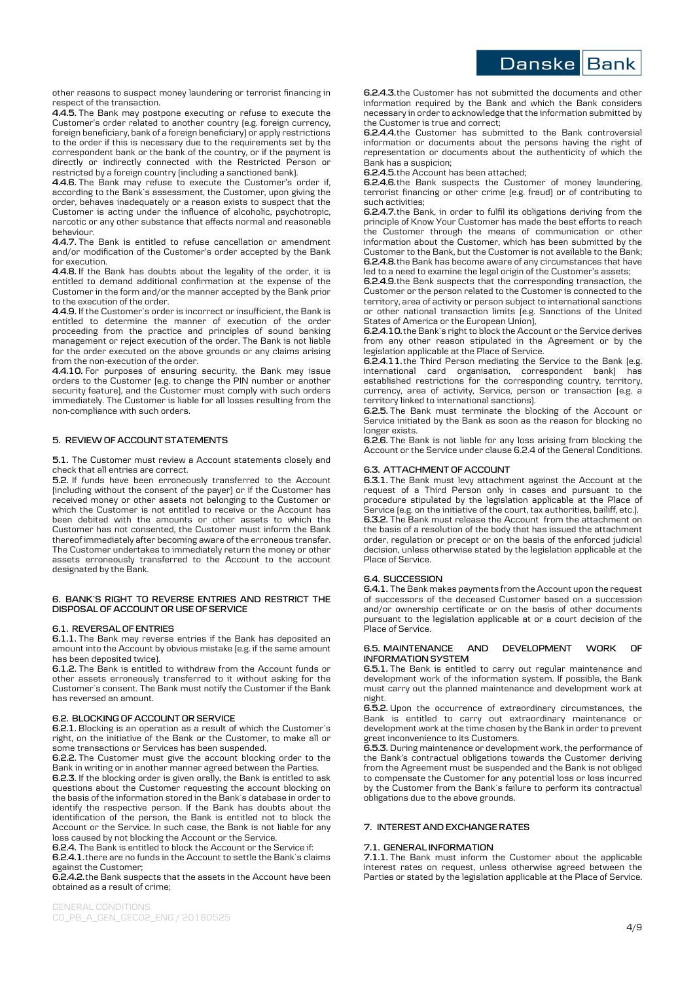other reasons to suspect money laundering or terrorist financing in respect of the transaction.

**4.4.5.** The Bank may postpone executing or refuse to execute the Customer's order related to another country (e.g. foreign currency, foreign beneficiary, bank of a foreign beneficiary) or apply restrictions to the order if this is necessary due to the requirements set by the correspondent bank or the bank of the country, or if the payment is directly or indirectly connected with the Restricted Person or restricted by a foreign country (including a sanctioned bank).

**4.4.6.** The Bank may refuse to execute the Customer's order if, according to the Bank`s assessment, the Customer, upon giving the order, behaves inadequately or a reason exists to suspect that the Customer is acting under the influence of alcoholic, psychotropic, narcotic or any other substance that affects normal and reasonable behaviour.

**4.4.7.** The Bank is entitled to refuse cancellation or amendment and/or modification of the Customer's order accepted by the Bank for execution.

**4.4.8.** If the Bank has doubts about the legality of the order, it is entitled to demand additional confirmation at the expense of the Customer in the form and/or the manner accepted by the Bank prior to the execution of the order.

**4.4.9.** If the Customer`s order is incorrect or insufficient, the Bank is entitled to determine the manner of execution of the order proceeding from the practice and principles of sound banking management or reject execution of the order. The Bank is not liable for the order executed on the above grounds or any claims arising from the non-execution of the order.

**4.4.10.** For purposes of ensuring security, the Bank may issue orders to the Customer (e.g. to change the PIN number or another security feature), and the Customer must comply with such orders immediately. The Customer is liable for all losses resulting from the non-compliance with such orders.

# **5. REVIEW OF ACCOUNT STATEMENTS**

**5.1.** The Customer must review a Account statements closely and check that all entries are correct.

**5.2.** If funds have been erroneously transferred to the Account (including without the consent of the payer) or if the Customer has received money or other assets not belonging to the Customer or which the Customer is not entitled to receive or the Account has been debited with the amounts or other assets to which the Customer has not consented, the Customer must inform the Bank thereof immediately after becoming aware of the erroneous transfer. The Customer undertakes to immediately return the money or other assets erroneously transferred to the Account to the account designated by the Bank.

#### **6. BANK`S RIGHT TO REVERSE ENTRIES AND RESTRICT THE DISPOSAL OF ACCOUNT OR USE OF SERVICE**

#### **6.1. REVERSAL OF ENTRIES**

**6.1.1.** The Bank may reverse entries if the Bank has deposited an amount into the Account by obvious mistake (e.g. if the same amount has been deposited twice).

**6.1.2.** The Bank is entitled to withdraw from the Account funds or other assets erroneously transferred to it without asking for the Customer`s consent. The Bank must notify the Customer if the Bank has reversed an amount.

## **6.2. BLOCKING OF ACCOUNT OR SERVICE**

**6.2.1.** Blocking is an operation as a result of which the Customer`s right, on the initiative of the Bank or the Customer, to make all or some transactions or Services has been suspended.

**6.2.2.** The Customer must give the account blocking order to the Bank in writing or in another manner agreed between the Parties.

**6.2.3.** If the blocking order is given orally, the Bank is entitled to ask questions about the Customer requesting the account blocking on the basis of the information stored in the Bank`s database in order to identify the respective person. If the Bank has doubts about the identification of the person, the Bank is entitled not to block the Account or the Service. In such case, the Bank is not liable for any loss caused by not blocking the Account or the Service.

**6.2.4.** The Bank is entitled to block the Account or the Service if:

**6.2.4.1.**there are no funds in the Account to settle the Bank`s claims against the Customer;

**6.2.4.2.**the Bank suspects that the assets in the Account have been obtained as a result of crime;

**6.2.4.3.**the Customer has not submitted the documents and other information required by the Bank and which the Bank considers necessary in order to acknowledge that the information submitted by the Customer is true and correct;

**6.2.4.4.**the Customer has submitted to the Bank controversial information or documents about the persons having the right of representation or documents about the authenticity of which the Bank has a suspicion;

**6.2.4.5.**the Account has been attached;

**6.2.4.6.**the Bank suspects the Customer of money laundering, terrorist financing or other crime (e.g. fraud) or of contributing to such activities;

**6.2.4.7.**the Bank, in order to fulfil its obligations deriving from the principle of Know Your Customer has made the best efforts to reach the Customer through the means of communication or other information about the Customer, which has been submitted by the Customer to the Bank, but the Customer is not available to the Bank; **6.2.4.8.**the Bank has become aware of any circumstances that have led to a need to examine the legal origin of the Customer's assets;

**6.2.4.9.**the Bank suspects that the corresponding transaction, the Customer or the person related to the Customer is connected to the territory, area of activity or person subject to international sanctions or other national transaction limits (e.g. Sanctions of the United States of America or the European Union),

**6.2.4.10.**the Bank`s right to block the Account or the Service derives from any other reason stipulated in the Agreement or by the legislation applicable at the Place of Service.

**6.2.4.11.the Third Person mediating the Service to the Bank (e.g.** international card organisation, correspondent bank) has established restrictions for the corresponding country, territory, currency, area of activity, Service, person or transaction (e.g. a territory linked to international sanctions).

**6.2.5.** The Bank must terminate the blocking of the Account or Service initiated by the Bank as soon as the reason for blocking no longer exists.

**6.2.6.** The Bank is not liable for any loss arising from blocking the Account or the Service under clause 6.2.4 of the General Conditions.

## **6.3. ATTACHMENT OF ACCOUNT**

**6.3.1.** The Bank must levy attachment against the Account at the request of a Third Person only in cases and pursuant to the procedure stipulated by the legislation applicable at the Place of Service (e.g. on the initiative of the court, tax authorities, bailiff, etc.). **6.3.2.** The Bank must release the Account from the attachment on the basis of a resolution of the body that has issued the attachment order, regulation or precept or on the basis of the enforced judicial decision, unless otherwise stated by the legislation applicable at the Place of Service.

## **6.4. SUCCESSION**

**6.4.1.** The Bank makes payments from the Account upon the request of successors of the deceased Customer based on a succession and/or ownership certificate or on the basis of other documents pursuant to the legislation applicable at or a court decision of the Place of Service.

#### **6.5. MAINTENANCE AND DEVELOPMENT WORK OF INFORMATION SYSTEM**

**6.5.1.** The Bank is entitled to carry out regular maintenance and development work of the information system. If possible, the Bank must carry out the planned maintenance and development work at night.

**6.5.2.** Upon the occurrence of extraordinary circumstances, the Bank is entitled to carry out extraordinary maintenance or development work at the time chosen by the Bank in order to prevent great inconvenience to its Customers.

**6.5.3.** During maintenance or development work, the performance of the Bank's contractual obligations towards the Customer deriving from the Agreement must be suspended and the Bank is not obliged to compensate the Customer for any potential loss or loss incurred by the Customer from the Bank`s failure to perform its contractual obligations due to the above grounds.

### **7. INTEREST AND EXCHANGE RATES**

#### **7.1. GENERAL INFORMATION**

**7.1.1.** The Bank must inform the Customer about the applicable interest rates on request, unless otherwise agreed between the Parties or stated by the legislation applicable at the Place of Service.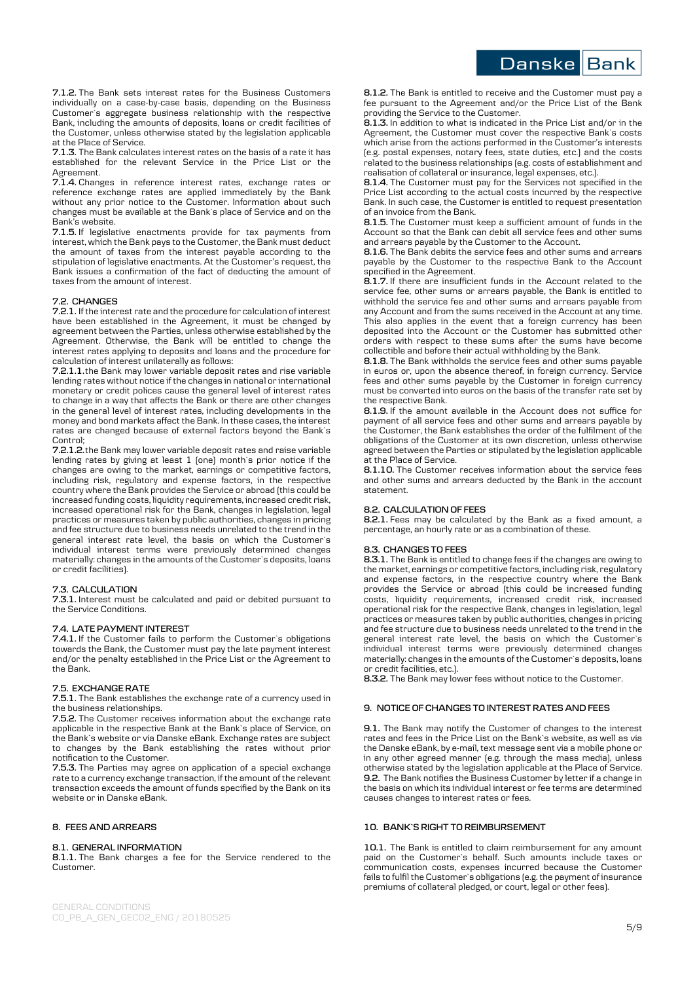

**7.1.2.** The Bank sets interest rates for the Business Customers individually on a case-by-case basis, depending on the Business Customer`s aggregate business relationship with the respective Bank, including the amounts of deposits, loans or credit facilities of the Customer, unless otherwise stated by the legislation applicable at the Place of Service.

**7.1.3.** The Bank calculates interest rates on the basis of a rate it has established for the relevant Service in the Price List or the Agreement.

**7.1.4.** Changes in reference interest rates, exchange rates or reference exchange rates are applied immediately by the Bank without any prior notice to the Customer. Information about such changes must be available at the Bank`s place of Service and on the Bank's website.

**7.1.5.** If legislative enactments provide for tax payments from interest, which the Bank pays to the Customer, the Bank must deduct the amount of taxes from the interest payable according to the stipulation of legislative enactments. At the Customer's request, the Bank issues a confirmation of the fact of deducting the amount of taxes from the amount of interest.

## **7.2. CHANGES**

**7.2.1.** If the interest rate and the procedure for calculation of interest have been established in the Agreement, it must be changed by agreement between the Parties, unless otherwise established by the Agreement. Otherwise, the Bank will be entitled to change the interest rates applying to deposits and loans and the procedure for calculation of interest unilaterally as follows:

**7.2.1.1.**the Bank may lower variable deposit rates and rise variable lending rates without notice if the changes in national or international monetary or credit polices cause the general level of interest rates to change in a way that affects the Bank or there are other changes in the general level of interest rates, including developments in the money and bond markets affect the Bank. In these cases, the interest rates are changed because of external factors beyond the Bank`s Control;

**7.2.1.2.**the Bank may lower variable deposit rates and raise variable lending rates by giving at least 1 (one) month`s prior notice if the changes are owing to the market, earnings or competitive factors, including risk, regulatory and expense factors, in the respective country where the Bank provides the Service or abroad (this could be increased funding costs, liquidity requirements, increased credit risk, increased operational risk for the Bank, changes in legislation, legal practices or measures taken by public authorities, changes in pricing and fee structure due to business needs unrelated to the trend in the general interest rate level, the basis on which the Customer`s individual interest terms were previously determined changes materially: changes in the amounts of the Customer`s deposits, loans or credit facilities).

## **7.3. CALCULATION**

**7.3.1.** Interest must be calculated and paid or debited pursuant to the Service Conditions.

#### **7.4. LATE PAYMENT INTEREST**

**7.4.1.** If the Customer fails to perform the Customer`s obligations towards the Bank, the Customer must pay the late payment interest and/or the penalty established in the Price List or the Agreement to the Bank.

## **7.5. EXCHANGE RATE**

**7.5.1.** The Bank establishes the exchange rate of a currency used in the business relationships.

**7.5.2.** The Customer receives information about the exchange rate applicable in the respective Bank at the Bank`s place of Service, on the Bank`s website or via Danske eBank. Exchange rates are subject to changes by the Bank establishing the rates without prior notification to the Customer.

**7.5.3.** The Parties may agree on application of a special exchange rate to a currency exchange transaction, if the amount of the relevant transaction exceeds the amount of funds specified by the Bank on its website or in Danske eBank.

## **8. FEES AND ARREARS**

## **8.1. GENERAL INFORMATION**

**8.1.1.** The Bank charges a fee for the Service rendered to the Customer.

**8.1.2.** The Bank is entitled to receive and the Customer must pay a free pursuant to the Agreement and/or the Price List of the Bank providing the Service to the Customer.

**8.1.3.** In addition to what is indicated in the Price List and/or in the Agreement, the Customer must cover the respective Bank`s costs which arise from the actions performed in the Customer's interests (e.g. postal expenses, notary fees, state duties, etc.) and the costs related to the business relationships (e.g. costs of establishment and realisation of collateral or insurance, legal expenses, etc.).

**8.1.4.** The Customer must pay for the Services not specified in the Price List according to the actual costs incurred by the respective Bank. In such case, the Customer is entitled to request presentation of an invoice from the Bank.

**8.1.5.** The Customer must keep a sufficient amount of funds in the Account so that the Bank can debit all service fees and other sums and arrears payable by the Customer to the Account.

**8.1.6.** The Bank debits the service fees and other sums and arrears payable by the Customer to the respective Bank to the Account specified in the Agreement.

**8.1.7.** If there are insufficient funds in the Account related to the service fee, other sums or arrears payable, the Bank is entitled to withhold the service fee and other sums and arrears payable from any Account and from the sums received in the Account at any time. This also applies in the event that a foreign currency has been deposited into the Account or the Customer has submitted other orders with respect to these sums after the sums have become collectible and before their actual withholding by the Bank.

**8.1.8.** The Bank withholds the service fees and other sums payable in euros or, upon the absence thereof, in foreign currency. Service fees and other sums payable by the Customer in foreign currency must be converted into euros on the basis of the transfer rate set by the respective Bank.

**8.1.9.** If the amount available in the Account does not suffice for payment of all service fees and other sums and arrears payable by the Customer, the Bank establishes the order of the fulfilment of the obligations of the Customer at its own discretion, unless otherwise agreed between the Parties or stipulated by the legislation applicable at the Place of Service.

**8.1.10.** The Customer receives information about the service fees and other sums and arrears deducted by the Bank in the account statement.

#### **8.2. CALCULATION OF FEES**

**8.2.1.** Fees may be calculated by the Bank as a fixed amount, a percentage, an hourly rate or as a combination of these.

#### **8.3. CHANGES TO FEES**

**8.3.1.** The Bank is entitled to change fees if the changes are owing to the market, earnings or competitive factors, including risk, regulatory and expense factors, in the respective country where the Bank provides the Service or abroad (this could be increased funding costs, liquidity requirements, increased credit risk, increased operational risk for the respective Bank, changes in legislation, legal practices or measures taken by public authorities, changes in pricing and fee structure due to business needs unrelated to the trend in the general interest rate level, the basis on which the Customer`s individual interest terms were previously determined changes materially: changes in the amounts of the Customer`s deposits, loans or credit facilities, etc.).

**8.3.2.** The Bank may lower fees without notice to the Customer.

## **9. NOTICE OF CHANGES TO INTEREST RATES AND FEES**

**9.1.** The Bank may notify the Customer of changes to the interest rates and fees in the Price List on the Bank`s website, as well as via the Danske eBank, by e-mail, text message sent via a mobile phone or in any other agreed manner (e.g. through the mass media), unless otherwise stated by the legislation applicable at the Place of Service. **9.2.** The Bank notifies the Business Customer by letter if a change in the basis on which its individual interest or fee terms are determined causes changes to interest rates or fees.

### **10. BANK`S RIGHT TO REIMBURSEMENT**

**10.1.** The Bank is entitled to claim reimbursement for any amount paid on the Customer`s behalf. Such amounts include taxes or communication costs, expenses incurred because the Customer fails to fulfil the Customer`s obligations (e.g. the payment of insurance premiums of collateral pledged, or court, legal or other fees).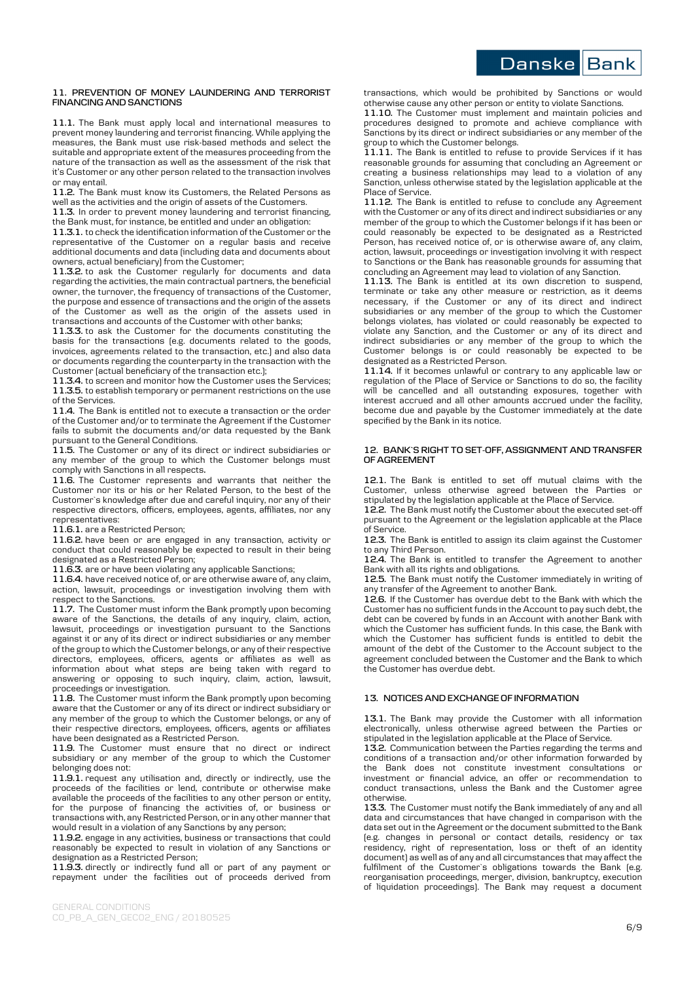#### **11. PREVENTION OF MONEY LAUNDERING AND TERRORIST FINANCING AND SANCTIONS**

**11.1.** The Bank must apply local and international measures to prevent money laundering and terrorist financing. While applying the measures, the Bank must use risk-based methods and select the suitable and appropriate extent of the measures proceeding from the nature of the transaction as well as the assessment of the risk that it's Customer or any other person related to the transaction involves or may entail.

**11.2.** The Bank must know its Customers, the Related Persons as well as the activities and the origin of assets of the Customers.

**11.3.** In order to prevent money laundering and terrorist financing, the Bank must, for instance, be entitled and under an obligation:

**11.3.1.** to check the identification information of the Customer or the representative of the Customer on a regular basis and receive additional documents and data (including data and documents about owners, actual beneficiary) from the Customer;

**11.3.2.** to ask the Customer regularly for documents and data regarding the activities, the main contractual partners, the beneficial owner, the turnover, the frequency of transactions of the Customer, the purpose and essence of transactions and the origin of the assets of the Customer as well as the origin of the assets used in transactions and accounts of the Customer with other banks;

**11.3.3.** to ask the Customer for the documents constituting the basis for the transactions (e.g. documents related to the goods, invoices, agreements related to the transaction, etc.) and also data or documents regarding the counterparty in the transaction with the Customer (actual beneficiary of the transaction etc.);

**11.3.4.** to screen and monitor how the Customer uses the Services; **11.3.5.** to establish temporary or permanent restrictions on the use of the Services.

**11.4.** The Bank is entitled not to execute a transaction or the order of the Customer and/or to terminate the Agreement if the Customer fails to submit the documents and/or data requested by the Bank pursuant to the General Conditions.

**11.5.** The Customer or any of its direct or indirect subsidiaries or any member of the group to which the Customer belongs must comply with Sanctions in all respects**.** 

**11.6.** The Customer represents and warrants that neither the Customer nor its or his or her Related Person, to the best of the Customer`s knowledge after due and careful inquiry, nor any of their respective directors, officers, employees, agents, affiliates, nor any representatives:

**11.6.1.** are a Restricted Person;

**11.6.2.** have been or are engaged in any transaction, activity or conduct that could reasonably be expected to result in their being designated as a Restricted Person;

**11.6.3.** are or have been violating any applicable Sanctions;

**11.6.4.** have received notice of, or are otherwise aware of, any claim, action, lawsuit, proceedings or investigation involving them with respect to the Sanctions.

**11.7.** The Customer must inform the Bank promptly upon becoming aware of the Sanctions, the details of any inquiry, claim, action, lawsuit, proceedings or investigation pursuant to the Sanctions against it or any of its direct or indirect subsidiaries or any member of the group to which the Customer belongs, or any of their respective directors, employees, officers, agents or affiliates as well as information about what steps are being taken with regard to answering or opposing to such inquiry, claim, action, lawsuit, proceedings or investigation.

**11.8.** The Customer must inform the Bank promptly upon becoming aware that the Customer or any of its direct or indirect subsidiary or any member of the group to which the Customer belongs, or any of their respective directors, employees, officers, agents or affiliates have been designated as a Restricted Person.

**11.9.** The Customer must ensure that no direct or indirect subsidiary or any member of the group to which the Customer belonging does not:

**11.9.1.** request any utilisation and, directly or indirectly, use the proceeds of the facilities or lend, contribute or otherwise make available the proceeds of the facilities to any other person or entity, for the purpose of financing the activities of, or business or transactions with, any Restricted Person, or in any other manner that would result in a violation of any Sanctions by any person;

**11.9.2.** engage in any activities, business or transactions that could reasonably be expected to result in violation of any Sanctions or designation as a Restricted Person;

**11.9.3.** directly or indirectly fund all or part of any payment or repayment under the facilities out of proceeds derived from transactions, which would be prohibited by Sanctions or would otherwise cause any other person or entity to violate Sanctions.

**11.10.** The Customer must implement and maintain policies and procedures designed to promote and achieve compliance with Sanctions by its direct or indirect subsidiaries or any member of the group to which the Customer belongs.

**11.11.** The Bank is entitled to refuse to provide Services if it has reasonable grounds for assuming that concluding an Agreement or creating a business relationships may lead to a violation of any Sanction, unless otherwise stated by the legislation applicable at the Place of Service.

**11.12.** The Bank is entitled to refuse to conclude any Agreement with the Customer or any of its direct and indirect subsidiaries or any member of the group to which the Customer belongs if it has been or could reasonably be expected to be designated as a Restricted Person, has received notice of, or is otherwise aware of, any claim, action, lawsuit, proceedings or investigation involving it with respect to Sanctions or the Bank has reasonable grounds for assuming that concluding an Agreement may lead to violation of any Sanction.

**11.13.** The Bank is entitled at its own discretion to suspend, terminate or take any other measure or restriction, as it deems necessary, if the Customer or any of its direct and indirect subsidiaries or any member of the group to which the Customer belongs violates, has violated or could reasonably be expected to violate any Sanction, and the Customer or any of its direct and indirect subsidiaries or any member of the group to which the Customer belongs is or could reasonably be expected to be designated as a Restricted Person.

**11.14.** If it becomes unlawful or contrary to any applicable law or regulation of the Place of Service or Sanctions to do so, the facility will be cancelled and all outstanding exposures, together with interest accrued and all other amounts accrued under the facility, become due and payable by the Customer immediately at the date specified by the Bank in its notice.

#### **12. BANK`S RIGHT TO SET-OFF, ASSIGNMENT AND TRANSFER OF AGREEMENT**

**12.1.** The Bank is entitled to set off mutual claims with the Customer, unless otherwise agreed between the Parties or stipulated by the legislation applicable at the Place of Service.

**12.2.** The Bank must notify the Customer about the executed set-off pursuant to the Agreement or the legislation applicable at the Place of Service.

**12.3.** The Bank is entitled to assign its claim against the Customer to any Third Person.

**12.4.** The Bank is entitled to transfer the Agreement to another Bank with all its rights and obligations.

**12.5.** The Bank must notify the Customer immediately in writing of any transfer of the Agreement to another Bank.

**12.6.** If the Customer has overdue debt to the Bank with which the Customer has no sufficient funds in the Account to pay such debt, the debt can be covered by funds in an Account with another Bank with which the Customer has sufficient funds. In this case, the Bank with which the Customer has sufficient funds is entitled to debit the amount of the debt of the Customer to the Account subject to the agreement concluded between the Customer and the Bank to which the Customer has overdue debt.

## **13. NOTICES AND EXCHANGE OF INFORMATION**

**13.1.** The Bank may provide the Customer with all information electronically, unless otherwise agreed between the Parties or stipulated in the legislation applicable at the Place of Service.

**13.2.** Communication between the Parties regarding the terms and conditions of a transaction and/or other information forwarded by the Bank does not constitute investment consultations or investment or financial advice, an offer or recommendation to conduct transactions, unless the Bank and the Customer agree otherwise.

**13.3.** The Customer must notify the Bank immediately of any and all data and circumstances that have changed in comparison with the data set out in the Agreement or the document submitted to the Bank (e.g. changes in personal or contact details, residency or tax residency, right of representation, loss or theft of an identity document) as well as of any and all circumstances that may affect the fulfilment of the Customer's obligations towards the Bank (e.g. reorganisation proceedings, merger, division, bankruptcy, execution of liquidation proceedings). The Bank may request a document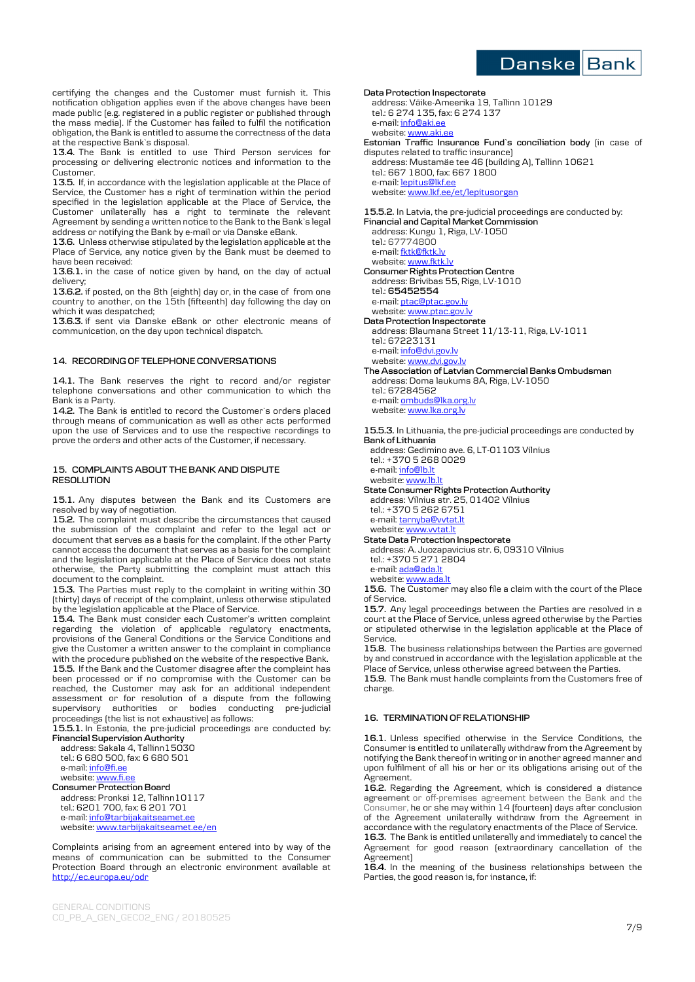

certifying the changes and the Customer must furnish it. This notification obligation applies even if the above changes have been made public (e.g. registered in a public register or published through the mass media). If the Customer has failed to fulfil the notification obligation, the Bank is entitled to assume the correctness of the data at the respective Bank`s disposal.

**13.4.** The Bank is entitled to use Third Person services for processing or delivering electronic notices and information to the Customer.

**13.5.** If, in accordance with the legislation applicable at the Place of Service, the Customer has a right of termination within the period specified in the legislation applicable at the Place of Service, the Customer unilaterally has a right to terminate the relevant Agreement by sending a written notice to the Bank to the Bank`s legal address or notifying the Bank by e-mail or via Danske eBank.

**13.6.** Unless otherwise stipulated by the legislation applicable at the Place of Service, any notice given by the Bank must be deemed to have been received:

**13.6.1.** in the case of notice given by hand, on the day of actual delivery;

**13.6.2.** if posted, on the 8th (eighth) day or, in the case of from one country to another, on the 15th (fifteenth) day following the day on which it was despatched;

**13.6.3.** if sent via Danske eBank or other electronic means of communication, on the day upon technical dispatch.

#### **14. RECORDING OF TELEPHONE CONVERSATIONS**

**14.1.** The Bank reserves the right to record and/or register telephone conversations and other communication to which the Bank is a Party.

**14.2.** The Bank is entitled to record the Customer`s orders placed through means of communication as well as other acts performed upon the use of Services and to use the respective recordings to prove the orders and other acts of the Customer, if necessary.

## **15. COMPLAINTS ABOUT THE BANK AND DISPUTE RESOLUTION**

**15.1.** Any disputes between the Bank and its Customers are resolved by way of negotiation.

**15.2.** The complaint must describe the circumstances that caused the submission of the complaint and refer to the legal act or document that serves as a basis for the complaint. If the other Party cannot access the document that serves as a basis for the complaint and the legislation applicable at the Place of Service does not state otherwise, the Party submitting the complaint must attach this document to the complaint.

**15.3.** The Parties must reply to the complaint in writing within 30 (thirty) days of receipt of the complaint, unless otherwise stipulated by the legislation applicable at the Place of Service.

**15.4.** The Bank must consider each Customer's written complaint regarding the violation of applicable regulatory enactments, provisions of the General Conditions or the Service Conditions and give the Customer a written answer to the complaint in compliance with the procedure published on the website of the respective Bank. **15.5.** If the Bank and the Customer disagree after the complaint has been processed or if no compromise with the Customer can be reached, the Customer may ask for an additional independent assessment or for resolution of a dispute from the following supervisory authorities or bodies conducting pre-judicial proceedings (the list is not exhaustive) as follows:

**15.5.1.** In Estonia, the pre-judicial proceedings are conducted by: **Financial Supervision Authority**

address: Sakala 4, Tallinn15030 tel.: 6 680 500, fax: 6 680 501 e-mail[: info@fi.ee](mailto:info@fi.ee) website[: www.fi.ee](http://www.fi.ee/) **Consumer Protection Board** address: Pronksi 12, Tallinn10117 tel.: 6201 700, fax: 6 201 701 e-mail: info@tarbijakaitseamet.e website[: www.tarbijakaitseamet.ee/en](http://www.tarbijakaitseamet.ee/en)

Complaints arising from an agreement entered into by way of the means of communication can be submitted to the Consumer Protection Board through an electronic environment available at <http://ec.europa.eu/odr>

### **Data Protection Inspectorate**

address: Väike-Ameerika 19, Tallinn 10129 tel.: 6 274 135, fax: 6 274 137 e-mail: <u>info@aki.ee</u> website: [www.aki.ee](http://www.aki.ee/)

**Estonian Traffic Insurance Fund`s conciliation body** (in case of disputes related to traffic insurance)

address: Mustamäe tee 46 (building A), Tallinn 10621 tel.: 667 1800, fax: 667 1800 e-mail[: lepitus@lkf.ee](mailto:lepitus@lkf.ee)

website: [www.lkf.ee/et/lepitusorgan](http://www.lkf.ee/et/lepitusorgan)

**15.5.2.** In Latvia, the pre-judicial proceedings are conducted by: **Financial and Capital Market Commission** address: Kungu 1, Riga, LV-1050

tel.: 67774800 e-mail[: fktk@fktk.lv](mailto:fktk@fktk.lv)

website: [www.fktk.lv](http://www.fktk.lv/)

# **Consumer Rights Protection Centre**

address: Brivibas 55, Riga, LV-1010

tel.: **65452554**

e-mail[: ptac@ptac.gov.lv](mailto:ptac@ptac.gov.lv) website: www.ptac.gov.ly

## **Data Protection Inspectorate**

address: Blaumana Street 11/13-11, Riga, LV-1011 tel.: 67223131 e-mail[: info@dvi.gov.lv](mailto:info@dvi.gov.lv)

website: [www.dvi.gov.lv](http://www.dvi.gov.lv/)

**The Association of Latvian Commercial Banks Ombudsman** address: Doma laukums 8A, Riga, LV-1050 tel.: 67284562

e-mail[: ombuds@lka.org.lv](mailto:ombuds@lka.org.lv) website: [www.lka.org.lv](http://www.lka.org.lv/)

**15.5.3.** In Lithuania, the pre-judicial proceedings are conducted by **Bank of Lithuania** 

address: Gedimino ave. 6, LT-01103 Vilnius tel.: +370 5 268 0029

e-mail[: info@lb.lt](mailto:info@lb.lt)

website[: www.lb.lt](http://www.lb.lt/) **State Consumer Rights Protection Authority** 

address: Vilnius str. 25, 01402 Vilnius

tel.: +370 5 262 6751

e-mail[: tarnyba@vvtat.lt](mailto:tarnyba@nvtat.lt)

- website[: www.vvtat.lt](http://www.vvtat.lt/)
- **State Data Protection Inspectorate**
- address: A. Juozapavicius str. 6, 09310 Vilnius
- tel.: +370 5 271 2804

e-mail[: ada@ada.lt](mailto:ada@ada.lt) website[: www.ada.lt](http://www.ada.lt/)

**15.6.** The Customer may also file a claim with the court of the Place of Service.

**15.7.** Any legal proceedings between the Parties are resolved in a court at the Place of Service, unless agreed otherwise by the Parties or stipulated otherwise in the legislation applicable at the Place of Service.

**15.8.** The business relationships between the Parties are governed by and construed in accordance with the legislation applicable at the Place of Service, unless otherwise agreed between the Parties.

**15.9.** The Bank must handle complaints from the Customers free of charge.

## **16. TERMINATION OF RELATIONSHIP**

**16.1.** Unless specified otherwise in the Service Conditions, the Consumer is entitled to unilaterally withdraw from the Agreement by notifying the Bank thereof in writing or in another agreed manner and upon fulfilment of all his or her or its obligations arising out of the Agreement.

**16.2.** Regarding the Agreement, which is considered a **distance agreement** or off-premises agreement between the Bank and the Consumer, he or she may within 14 (fourteen) days after conclusion of the Agreement unilaterally withdraw from the Agreement in accordance with the regulatory enactments of the Place of Service.

**16.3.** The Bank is entitled unilaterally and immediately to cancel the Agreement for good reason (extraordinary cancellation of the Agreement)

**16.4.** In the meaning of the business relationships between the Parties, the good reason is, for instance, if: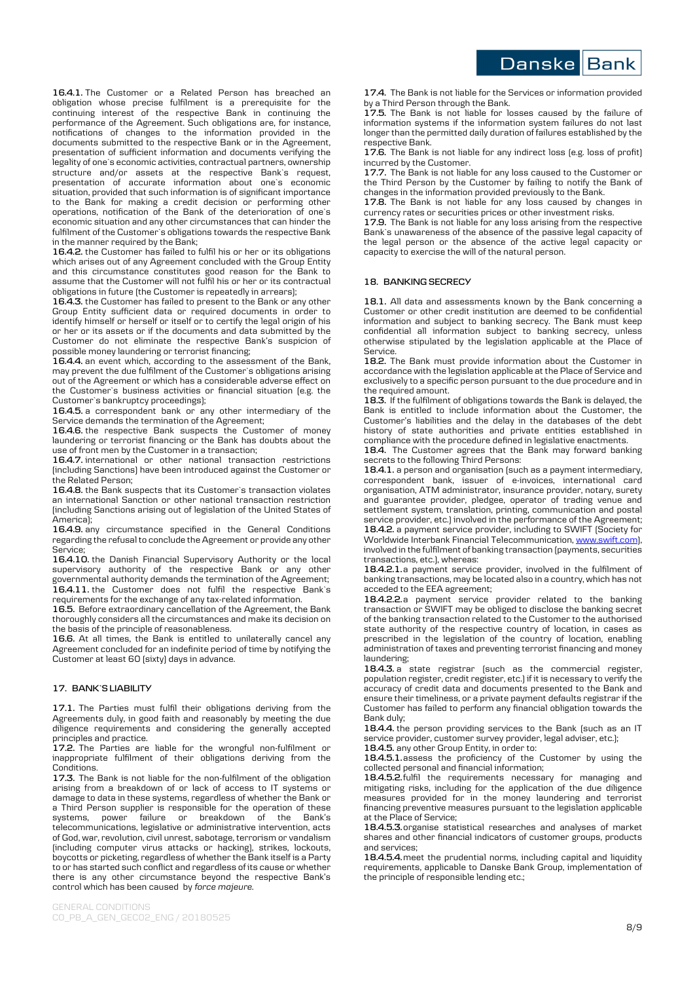

**16.4.1.** The Customer or a Related Person has breached an obligation whose precise fulfilment is a prerequisite for the continuing interest of the respective Bank in continuing the performance of the Agreement. Such obligations are, for instance, notifications of changes to the information provided in the documents submitted to the respective Bank or in the Agreement, presentation of sufficient information and documents verifying the legality of one`s economic activities, contractual partners, ownership structure and/or assets at the respective Bank`s request, presentation of accurate information about one`s economic situation, provided that such information is of significant importance to the Bank for making a credit decision or performing other operations, notification of the Bank of the deterioration of one`s economic situation and any other circumstances that can hinder the fulfilment of the Customer`s obligations towards the respective Bank in the manner required by the Bank;

**16.4.2.** the Customer has failed to fulfil his or her or its obligations which arises out of any Agreement concluded with the Group Entity and this circumstance constitutes good reason for the Bank to assume that the Customer will not fulfil his or her or its contractual obligations in future (the Customer is repeatedly in arrears);

**16.4.3.** the Customer has failed to present to the Bank or any other Group Entity sufficient data or required documents in order to identify himself or herself or itself or to certify the legal origin of his or her or its assets or if the documents and data submitted by the Customer do not eliminate the respective Bank's suspicion of possible money laundering or terrorist financing;

**16.4.4.** an event which, according to the assessment of the Bank, may prevent the due fulfilment of the Customer's obligations arising out of the Agreement or which has a considerable adverse effect on the Customer`s business activities or financial situation (e.g. the Customer`s bankruptcy proceedings);

**16.4.5.** a correspondent bank or any other intermediary of the Service demands the termination of the Agreement;

**16.4.6.** the respective Bank suspects the Customer of money laundering or terrorist financing or the Bank has doubts about the use of front men by the Customer in a transaction;

**16.4.7.** international or other national transaction restrictions (including Sanctions) have been introduced against the Customer or the Related Person;

**16.4.8.** the Bank suspects that its Customer`s transaction violates an international Sanction or other national transaction restriction (including Sanctions arising out of legislation of the United States of America);

**16.4.9.** any circumstance specified in the General Conditions regarding the refusal to conclude the Agreement or provide any other Service;

**16.4.10.** the Danish Financial Supervisory Authority or the local supervisory authority of the respective Bank or any other governmental authority demands the termination of the Agreement; **16.4.11.** the Customer does not fulfil the respective Bank`s requirements for the exchange of any tax-related information.

**16.5.** Before extraordinary cancellation of the Agreement, the Bank thoroughly considers all the circumstances and make its decision on the basis of the principle of reasonableness.

**16.6.** At all times, the Bank is entitled to unilaterally cancel any Agreement concluded for an indefinite period of time by notifying the Customer at least 60 (sixty) days in advance.

## **17. BANK`S LIABILITY**

**17.1.** The Parties must fulfil their obligations deriving from the Agreements duly, in good faith and reasonably by meeting the due diligence requirements and considering the generally accepted principles and practice.

**17.2.** The Parties are liable for the wrongful non-fulfilment or inappropriate fulfilment of their obligations deriving from the Conditions.

**17.3.** The Bank is not liable for the non-fulfilment of the obligation arising from a breakdown of or lack of access to IT systems or damage to data in these systems, regardless of whether the Bank or a Third Person supplier is responsible for the operation of these<br>systems, power failure or breakdown of the Bank's systems, power failure or breakdown of the telecommunications, legislative or administrative intervention, acts of God, war, revolution, civil unrest, sabotage, terrorism or vandalism (including computer virus attacks or hacking), strikes, lockouts, boycotts or picketing, regardless of whether the Bank itself is a Party to or has started such conflict and regardless of its cause or whether there is any other circumstance beyond the respective Bank's control which has been caused by *force majeure.*

**17.4.** The Bank is not liable for the Services or information provided by a Third Person through the Bank.

**17.5.** The Bank is not liable for losses caused by the failure of information systems if the information system failures do not last longer than the permitted daily duration of failures established by the respective Bank.

**17.6.** The Bank is not liable for any indirect loss (e.g. loss of profit) incurred by the Customer.

**17.7.** The Bank is not liable for any loss caused to the Customer or the Third Person by the Customer by failing to notify the Bank of changes in the information provided previously to the Bank.

**17.8.** The Bank is not liable for any loss caused by changes in currency rates or securities prices or other investment risks.

**17.9.** The Bank is not liable for any loss arising from the respective Bank`s unawareness of the absence of the passive legal capacity of the legal person or the absence of the active legal capacity or capacity to exercise the will of the natural person.

## **18. BANKING SECRECY**

**18.1.** All data and assessments known by the Bank concerning a Customer or other credit institution are deemed to be confidential information and subject to banking secrecy. The Bank must keep confidential all information subject to banking secrecy, unless otherwise stipulated by the legislation applicable at the Place of Service.

**18.2.** The Bank must provide information about the Customer in accordance with the legislation applicable at the Place of Service and exclusively to a specific person pursuant to the due procedure and in the required amount.

**18.3.** If the fulfilment of obligations towards the Bank is delayed, the Bank is entitled to include information about the Customer, the Customer's liabilities and the delay in the databases of the debt history of state authorities and private entities established in compliance with the procedure defined in legislative enactments.

**18.4.** The Customer agrees that the Bank may forward banking secrets to the following Third Persons:

**18.4.1.** a person and organisation (such as a payment intermediary, correspondent bank, issuer of e-invoices, international card organisation, ATM administrator, insurance provider, notary, surety and guarantee provider, pledgee, operator of trading venue and settlement system, translation, printing, communication and postal service provider, etc.) involved in the performance of the Agreement; **18.4.2.** a payment service provider, including to SWIFT (Society for Worldwide Interbank Financial Telecommunication[, www.swift.com\)](http://www.swift.com/), involved in the fulfilment of banking transaction (payments, securities transactions, etc.), whereas:

**18.4.2.1.**a payment service provider, involved in the fulfilment of banking transactions, may be located also in a country, which has not acceded to the EEA agreement;

**18.4.2.2.**a payment service provider related to the banking transaction or SWIFT may be obliged to disclose the banking secret of the banking transaction related to the Customer to the authorised state authority of the respective country of location, in cases as prescribed in the legislation of the country of location, enabling administration of taxes and preventing terrorist financing and money laundering;

18.4.3. a state registrar (such as the commercial register, population register, credit register, etc.) if it is necessary to verify the accuracy of credit data and documents presented to the Bank and ensure their timeliness, or a private payment defaults registrar if the Customer has failed to perform any financial obligation towards the Bank duly;

18.4.4. the person providing services to the Bank (such as an IT service provider, customer survey provider, legal adviser, etc.);

**18.4.5.** any other Group Entity, in order to:

**18.4.5.1.**assess the proficiency of the Customer by using the collected personal and financial information;

**18.4.5.2.**fulfil the requirements necessary for managing and mitigating risks, including for the application of the due diligence measures provided for in the money laundering and terrorist financing preventive measures pursuant to the legislation applicable at the Place of Service;

**18.4.5.3.**organise statistical researches and analyses of market shares and other financial indicators of customer groups, products and services;

**18.4.5.4.**meet the prudential norms, including capital and liquidity requirements, applicable to Danske Bank Group, implementation of the principle of responsible lending etc.;